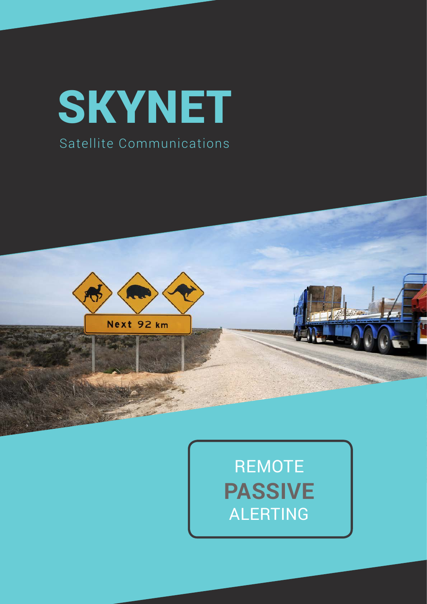## **SKYNET** Satellite Communications





SkyNet Satellite Communications 2017 | 1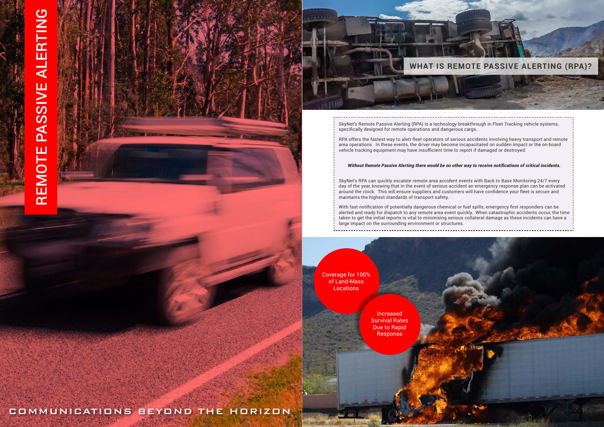# REMOTE PASSIVE ALERTING REMOTE PASSIVE ALERTING

SkyNet's Remote Passive Alerting (RPA) is a technology breakthrough in Fleet Tracking vehicle systems, specifically designed for remote operations and dangerous cargo.

REACH Aeronautical RPA offers the fastest way to alert fleet operators of serious accidents involving heavy transport and remote area operations. In these events, the driver may become incapacitated on sudden impact or the on-board vehicle tracking equipment may have insufficient time to report if damaged or destroyed.

#### *Without Remote Passive Alerting there would be no other way to receive notifications of critical incidents.*



Coverage for 100% of Land-Mass **Locations** 

SkyNet's RPA can quickly escalate remote area accident events with Back to Base Monitoring 24/7 every day of the year, knowing that in the event of serious accident an emergency response plan can be activated around the clock. This will ensure suppliers and customers will have confidence your fleet is secure and maintains the highest standards of transport safety.

With fast notification of potentially dangerous chemical or fuel spills, emergency first responders can be alerted and ready for dispatch to any remote area event quickly. When catastrophic accidents occur, the time taken to get the initial reports is vital to minimising serious collateral damage as these incidents can have a large impact on the surrounding environment or structures.





Increased Survival Rates Due to Rapid Response

COMMUNICATIONS BEYOND THE HORIZON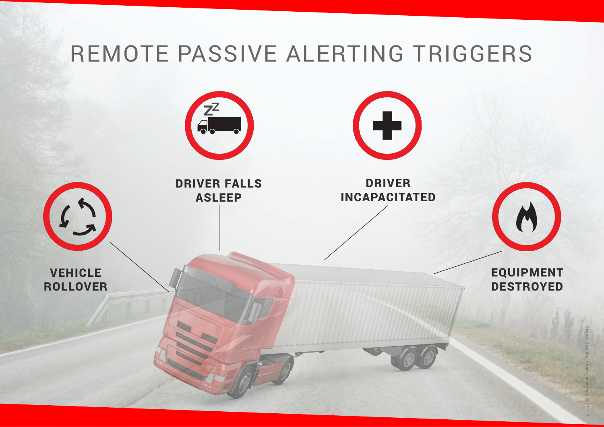SkyNet Satellite Communications 2017 | 5

## REMOTE PASSIVE ALERTING TRIGGERS

### EQUIPMENT **DESTROYED**